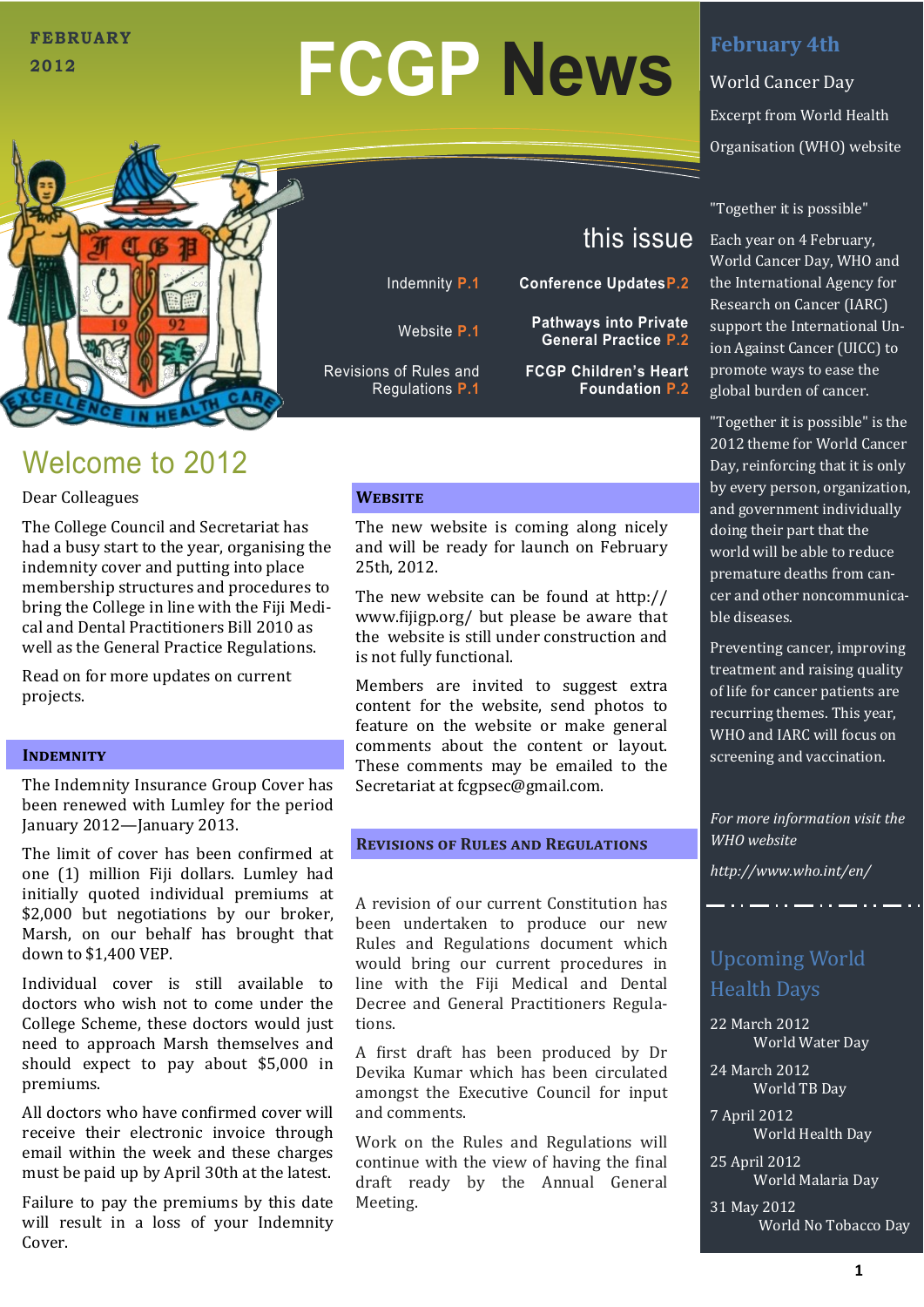### **FEBRUARY 2012**

# **FCGP News**



# Welcome to 2012

Dear Colleagues

The College Council and Secretariat has had a busy start to the year, organising the indemnity cover and putting into place membership structures and procedures to bring the College in line with the Fiji Medical and Dental Practitioners Bill 2010 as well as the General Practice Regulations.

Read on for more updates on current projects.

#### **INDEMNITY**

The Indemnity Insurance Group Cover has been renewed with Lumley for the period January 2012—January 2013.

The limit of cover has been confirmed at one (1) million Fiji dollars. Lumley had initially quoted individual premiums at \$2,000 but negotiations by our broker, Marsh, on our behalf has brought that down to \$1,400 VEP.

Individual cover is still available to doctors who wish not to come under the College Scheme, these doctors would just need to approach Marsh themselves and should expect to pay about \$5,000 in premiums.

All doctors who have confirmed cover will receive their electronic invoice through email within the week and these charges must be paid up by April 30th at the latest.

Failure to pay the premiums by this date will result in a loss of your Indemnity Cover.

#### **Website**

Revisions of Rules and Regulations **P.1**

> The new website is coming along nicely and will be ready for launch on February 25th, 2012.

Indemnity **P.1 Conference UpdatesP.2**

Website **P.1 Pathways into Private** 

The new website can be found at http:// www.fijigp.org/ but please be aware that the website is still under construction and is not fully functional.

Members are invited to suggest extra content for the website, send photos to feature on the website or make general comments about the content or layout. These comments may be emailed to the Secretariat at fcgpsec@gmail.com.

#### **Revisions of Rules and Regulations**

A revision of our current Constitution has been undertaken to produce our new Rules and Regulations document which would bring our current procedures in line with the Fiji Medical and Dental Decree and General Practitioners Regulations.

A first draft has been produced by Dr Devika Kumar which has been circulated amongst the Executive Council for input and comments.

Work on the Rules and Regulations will continue with the view of having the final draft ready by the Annual General Meeting.

## **February 4th**

World Cancer Day Excerpt from World Health Organisation (WHO) website

"Together it is possible"

this issue

**General Practice P.2**

**Foundation P.2**

**FCGP Children's Heart** 

Each year on 4 February, World Cancer Day, WHO and the International Agency for Research on Cancer (IARC) support the International Union Against Cancer (UICC) to promote ways to ease the global burden of cancer.

"Together it is possible" is the 2012 theme for World Cancer Day, reinforcing that it is only by every person, organization, and government individually doing their part that the world will be able to reduce premature deaths from cancer and other noncommunicable diseases.

Preventing cancer, improving treatment and raising quality of life for cancer patients are recurring themes. This year, WHO and IARC will focus on screening and vaccination.

*For more information visit the WHO website* 

*http://www.who.int/en/*

# Upcoming World Health Days

22 March 2012 World Water Day

24 March 2012 World TB Day

7 April 2012 World Health Day

25 April 2012 World Malaria Day

31 May 2012 World No Tobacco Day